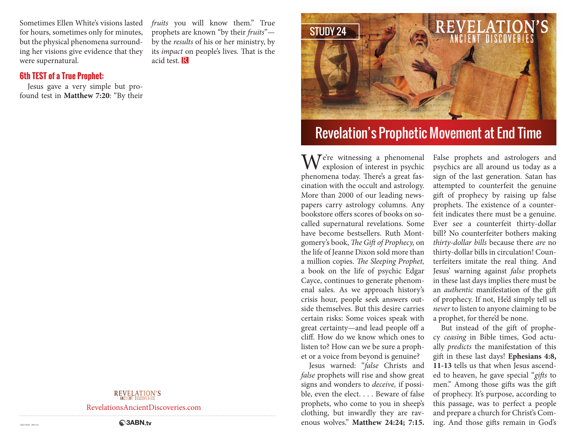Sometimes Ellen White's visions lasted for hours, sometimes only for minutes, but the physical phenomena surrounding her visions give evidence that they were supernatural.

#### **6th TEST of a True Prophet:**

Jesus gave a very simple but profound test in **Matthew 7:20**: "By their *fruits* you will know them." True prophets are known "by their *fruits*" by the *results* of his or her ministry, by its *impact* on people's lives. That is the acid test. R



# Revelation's Prophetic Movement at End Time

 $M^e$ <sup>e're</sup> witnessing a phenomenal explosion of interest in psychic phenomena today. There's a great fascination with the occult and astrology. More than 2000 of our leading newspapers carry astrology columns. Any bookstore offers scores of books on socalled supernatural revelations. Some have become bestsellers. Ruth Montgomery's book, *The Gift of Prophecy,* on the life of Jeanne Dixon sold more than a million copies. *The Sleeping Prophet,* a book on the life of psychic Edgar Cayce, continues to generate phenomenal sales. As we approach history's crisis hour, people seek answers outside themselves. But this desire carries certain risks: Some voices speak with great certainty—and lead people off a cliff. How do we know which ones to listen to? How can we be sure a prophet or a voice from beyond is genuine?

Jesus warned: "*false* Christs and *false* prophets will rise and show great signs and wonders to *deceive,* if possible, even the elect. . . . Beware of false prophets, who come to you in sheep's clothing, but inwardly they are ravenous wolves." **Matthew 24:24; 7:15.** 

False prophets and astrologers and psychics are all around us today as a sign of the last generation. Satan has attempted to counterfeit the genuine gift of prophecy by raising up false prophets. The existence of a counterfeit indicates there must be a genuine. Ever see a counterfeit thirty-dollar bill? No counterfeiter bothers making *thirty-dollar bills* because there *are* no thirty-dollar bills in circulation! Counterfeiters imitate the real thing. And Jesus' warning against *false* prophets in these last days implies there must be an *authentic* manifestation of the gift of prophecy. If not, He'd simply tell us *never* to listen to anyone claiming to be a prophet, for there'd be none.

But instead of the gift of prophecy *ceasing* in Bible times, God actually *predicts* the manifestation of this gift in these last days! **Ephesians 4:8, 11-13** tells us that when Jesus ascended to heaven, he gave special "*gifts* to men." Among those gifts was the gift of prophecy. It's purpose, according to this passage, was to perfect a people and prepare a church for Christ's Coming. And those gifts remain in God's

**REVELATION'S** 

RevelationsAncientDiscoveries.com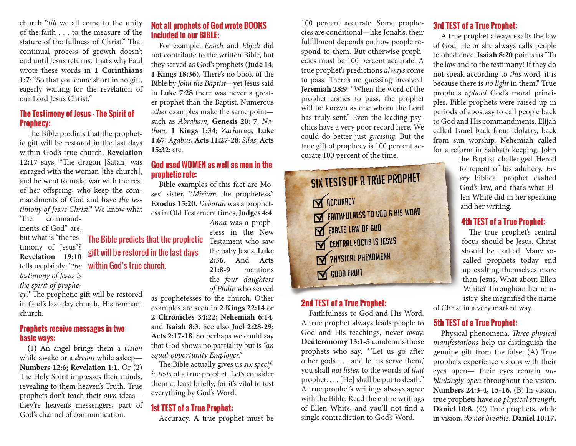church "*till* we all come to the unity of the faith . . . to the measure of the stature of the fullness of Christ." That continual process of growth doesn't end until Jesus returns. That's why Paul wrote these words in **1 Corinthians 1:7**: "So that you come short in no gift, eagerly waiting for the revelation of our Lord Jesus Christ."

#### **The Testimony of Jesus - The Spirit of Prophecy:**

The Bible predicts that the prophetic gift will be restored in the last days within God's true church. **Revelation 12:17** says, "The dragon [Satan] was enraged with the woman [the church], and he went to make war with the rest of her offspring, who keep the commandments of God and have *the testimony of Jesus Christ*." We know what "the command-

ments of God" are, but what is "the testimony of Jesus"? *testimony of Jesus is the spirit of prophe-*

*cy*." The prophetic gift will be restored in God's last-day church, His remnant church.

#### **Prophets receive messages in two basic ways:**

(1) An angel brings them a *vision* while awake or a *dream* while asleep— **Numbers 12:6; Revelation 1:1**. Or (2) The Holy Spirit impresses their minds, revealing to them heaven's Truth. True prophets don't teach their *own* ideas they're heaven's messengers, part of God's channel of communication.

## **Not all prophets of God wrote BOOKS included in our BIBLE:**

For example, *Enoch* and *Elijah* did not contribute to the written Bible, but they served as God's prophets (**Jude 14**; **1 Kings 18:36**). There's no book of the Bible by *John the Baptist*—yet Jesus said in **Luke 7:28** there was never a greater prophet than the Baptist. Numerous *other* examples make the same point such as *Abraham,* **Genesis 20: 7**; *Nathan,* **1 Kings 1:34**; *Zacharias,* **Luke 1:67**; *Agabus,* **Acts 11:27-28**; *Silas,* **Acts 15:32**; etc.

### **God used WOMEN as well as men in the prophetic role:**

Bible examples of this fact are Moses' sister, "*Miriam* the prophetess," **Exodus 15:20.** *Deborah* was a prophetess in Old Testament times, **Judges 4:4**.

*Anna* was a prophetess in the New the baby Jesus, **Luke 2:36**. And **Acts 21:8-9** mentions the *four daughters of Philip* who served

as prophetesses to the church. Other examples are seen in **2 Kings 22:14** or **2 Chronicles 34:22**; **Nehemiah 6:14**, and **Isaiah 8:3**. See also **Joel 2:28-29; Acts 2:17-18**. So perhaps we could say that God shows no partiality but is *"an equal-opportunity Employer."*

The Bible actually gives us *six specific tests* of a true prophet. Let's consider them at least briefly, for it's vital to test everything by God's Word.

## **1st TEST of a True Prophet:**

Accuracy. A true prophet must be

100 percent accurate. Some prophecies are conditional—like Jonah's, their fulfillment depends on how people respond to them. But otherwise prophecies must be 100 percent accurate. A true prophet's predictions *always* come to pass. There's no guessing involved. **Jeremiah 28:9**: "When the word of the prophet comes to pass, the prophet will be known as one whom the Lord has truly sent." Even the leading psychics have a very poor record here. We could do better just *guessing*. But the true gift of prophecy is 100 percent accurate 100 percent of the time.

# SIX TESTS OF A TRUE PROPHET **N** ACCURACY **EXECUTED FAITHFULNESS TO GOD & HIS WORD** EXALTS LAW OF GOD CENTRAL FOCUS IS JESUS PHYSICAL PHENOMENA GOOD FRUIT

## **2nd TEST of a True Prophet:**

Faithfulness to God and His Word. A true prophet always leads people to God and His teachings, never away. **Deuteronomy 13:1-5** condemns those prophets who say, " 'Let us go after other gods . . . and let us serve them,' you shall *not listen* to the words of *that*  prophet. . . . [He] shall be put to death." A true prophet's writings always agree with the Bible. Read the entire writings of Ellen White, and you'll not find a single contradiction to God's Word.

# **3rd TEST of a True Prophet:**

A true prophet always exalts the law of God. He or she always calls people to obedience. **Isaiah 8:20** points us "To the law and to the testimony! If they do not speak according to *this* word, it is because there is *no light* in them." True prophets *uphold* God's moral principles. Bible prophets were raised up in periods of apostasy to call people back to God and His commandments. Elijah called Israel back from idolatry, back from sun worship. Nehemiah called for a reform in Sabbath keeping. John

the Baptist challenged Herod to repent of his adultery. *Every* biblical prophet exalted God's law, and that's what Ellen White did in her speaking and her writing.

# **4th TEST of a True Prophet:**

The true prophet's central focus should be Jesus. Christ should be exalted. Many socalled prophets today end up exalting themselves more than Jesus. What about Ellen White? Throughout her ministry, she magnified the name

of Christ in a very marked way.

# **5th TEST of a True Prophet:**

Physical phenomena. *Three physical manifestations* help us distinguish the genuine gift from the false: (A) True prophets experience visions with their eyes open— their eyes remain *unblinkingly open* throughout the vision. **Numbers 24:3-4, 15-16.** (B) In vision, true prophets have *no physical strength*. **Daniel 10:8.** (C) True prophets, while in vision, *do not breathe*. **Daniel 10:17.**

**Revelation 19:10** gift will be restored in the last days tells us plainly: "*the*  within God's true church.**The Bible predicts that the prophetic**  $Testament who saw$